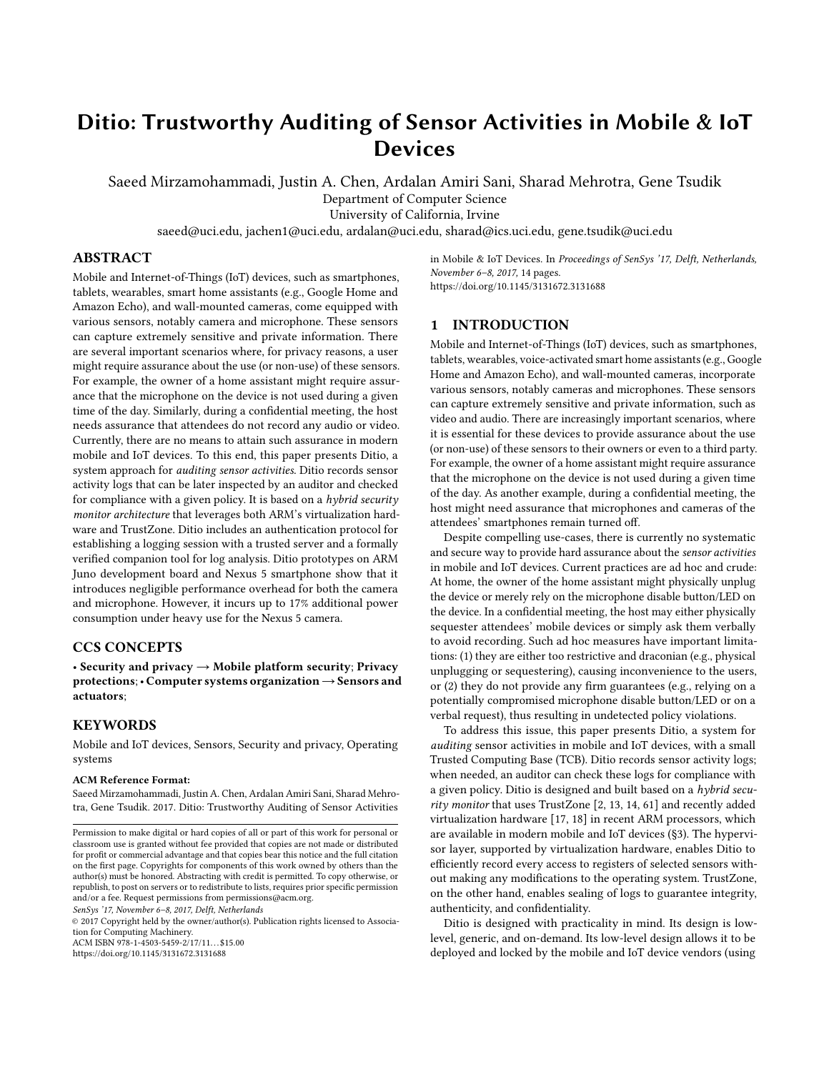# Ditio: Trustworthy Auditing of Sensor Activities in Mobile & IoT **Devices**

Saeed Mirzamohammadi, Justin A. Chen, Ardalan Amiri Sani, Sharad Mehrotra, Gene Tsudik

Department of Computer Science

University of California, Irvine

saeed@uci.edu, jachen1@uci.edu, ardalan@uci.edu, sharad@ics.uci.edu, gene.tsudik@uci.edu

# ABSTRACT

Mobile and Internet-of-Things (IoT) devices, such as smartphones, tablets, wearables, smart home assistants (e.g., Google Home and Amazon Echo), and wall-mounted cameras, come equipped with various sensors, notably camera and microphone. These sensors can capture extremely sensitive and private information. There are several important scenarios where, for privacy reasons, a user might require assurance about the use (or non-use) of these sensors. For example, the owner of a home assistant might require assurance that the microphone on the device is not used during a given time of the day. Similarly, during a confidential meeting, the host needs assurance that attendees do not record any audio or video. Currently, there are no means to attain such assurance in modern mobile and IoT devices. To this end, this paper presents Ditio, a system approach for auditing sensor activities. Ditio records sensor activity logs that can be later inspected by an auditor and checked for compliance with a given policy. It is based on a hybrid security monitor architecture that leverages both ARM's virtualization hardware and TrustZone. Ditio includes an authentication protocol for establishing a logging session with a trusted server and a formally verified companion tool for log analysis. Ditio prototypes on ARM Juno development board and Nexus 5 smartphone show that it introduces negligible performance overhead for both the camera and microphone. However, it incurs up to 17% additional power consumption under heavy use for the Nexus 5 camera.

# CCS CONCEPTS

• Security and privacy  $\rightarrow$  Mobile platform security; Privacy protections;• Computer systems organization→Sensors and actuators;

# **KEYWORDS**

Mobile and IoT devices, Sensors, Security and privacy, Operating systems

#### ACM Reference Format:

Saeed Mirzamohammadi, Justin A. Chen, Ardalan Amiri Sani, Sharad Mehrotra, Gene Tsudik. 2017. Ditio: Trustworthy Auditing of Sensor Activities

SenSys '17, November 6–8, 2017, Delft, Netherlands

© 2017 Copyright held by the owner/author(s). Publication rights licensed to Association for Computing Machinery. ACM ISBN 978-1-4503-5459-2/17/11...\$15.00

<https://doi.org/10.1145/3131672.3131688>

in Mobile & IoT Devices. In Proceedings of SenSys '17, Delft, Netherlands, November 6–8, 2017, [14](#page-13-0) pages. <https://doi.org/10.1145/3131672.3131688>

## <span id="page-0-0"></span>1 INTRODUCTION

Mobile and Internet-of-Things (IoT) devices, such as smartphones, tablets, wearables, voice-activated smart home assistants (e.g., Google Home and Amazon Echo), and wall-mounted cameras, incorporate various sensors, notably cameras and microphones. These sensors can capture extremely sensitive and private information, such as video and audio. There are increasingly important scenarios, where it is essential for these devices to provide assurance about the use (or non-use) of these sensors to their owners or even to a third party. For example, the owner of a home assistant might require assurance that the microphone on the device is not used during a given time of the day. As another example, during a confidential meeting, the host might need assurance that microphones and cameras of the attendees' smartphones remain turned off.

Despite compelling use-cases, there is currently no systematic and secure way to provide hard assurance about the sensor activities in mobile and IoT devices. Current practices are ad hoc and crude: At home, the owner of the home assistant might physically unplug the device or merely rely on the microphone disable button/LED on the device. In a confidential meeting, the host may either physically sequester attendees' mobile devices or simply ask them verbally to avoid recording. Such ad hoc measures have important limitations: (1) they are either too restrictive and draconian (e.g., physical unplugging or sequestering), causing inconvenience to the users, or (2) they do not provide any firm guarantees (e.g., relying on a potentially compromised microphone disable button/LED or on a verbal request), thus resulting in undetected policy violations.

To address this issue, this paper presents Ditio, a system for auditing sensor activities in mobile and IoT devices, with a small Trusted Computing Base (TCB). Ditio records sensor activity logs; when needed, an auditor can check these logs for compliance with a given policy. Ditio is designed and built based on a  $h$ *ybrid secu*rity monitor that uses TrustZone [\[2,](#page-13-1) [13,](#page-13-2) [14,](#page-13-3) [61\]](#page-13-4) and recently added virtualization hardware [\[17,](#page-13-5) [18\]](#page-13-6) in recent ARM processors, which are available in modern mobile and IoT devices ([§3\)](#page-2-0). The hypervisor layer, supported by virtualization hardware, enables Ditio to efficiently record every access to registers of selected sensors without making any modifications to the operating system. TrustZone, on the other hand, enables sealing of logs to guarantee integrity, authenticity, and confidentiality.

Ditio is designed with practicality in mind. Its design is lowlevel, generic, and on-demand. Its low-level design allows it to be deployed and locked by the mobile and IoT device vendors (using

Permission to make digital or hard copies of all or part of this work for personal or classroom use is granted without fee provided that copies are not made or distributed for profit or commercial advantage and that copies bear this notice and the full citation on the first page. Copyrights for components of this work owned by others than the author(s) must be honored. Abstracting with credit is permitted. To copy otherwise, or republish, to post on servers or to redistribute to lists, requires prior specific permission and/or a fee. Request permissions from permissions@acm.org.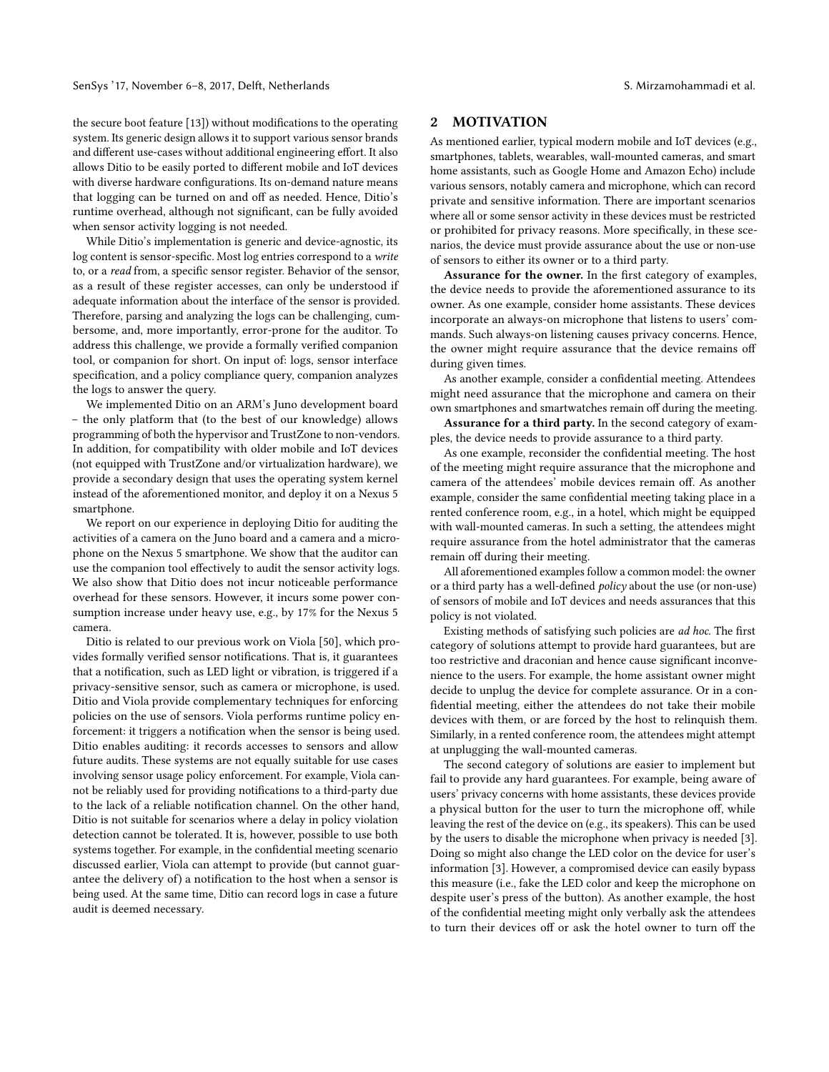the secure boot feature [\[13\]](#page-13-2)) without modifications to the operating system. Its generic design allows it to support various sensor brands and different use-cases without additional engineering effort. It also allows Ditio to be easily ported to different mobile and IoT devices with diverse hardware configurations. Its on-demand nature means that logging can be turned on and off as needed. Hence, Ditio's runtime overhead, although not significant, can be fully avoided when sensor activity logging is not needed.

While Ditio's implementation is generic and device-agnostic, its log content is sensor-specific. Most log entries correspond to a write to, or a read from, a specific sensor register. Behavior of the sensor, as a result of these register accesses, can only be understood if adequate information about the interface of the sensor is provided. Therefore, parsing and analyzing the logs can be challenging, cumbersome, and, more importantly, error-prone for the auditor. To address this challenge, we provide a formally verified companion tool, or companion for short. On input of: logs, sensor interface specification, and a policy compliance query, companion analyzes the logs to answer the query.

We implemented Ditio on an ARM's Juno development board – the only platform that (to the best of our knowledge) allows programming of both the hypervisor and TrustZone to non-vendors. In addition, for compatibility with older mobile and IoT devices (not equipped with TrustZone and/or virtualization hardware), we provide a secondary design that uses the operating system kernel instead of the aforementioned monitor, and deploy it on a Nexus 5 smartphone.

We report on our experience in deploying Ditio for auditing the activities of a camera on the Juno board and a camera and a microphone on the Nexus 5 smartphone. We show that the auditor can use the companion tool effectively to audit the sensor activity logs. We also show that Ditio does not incur noticeable performance overhead for these sensors. However, it incurs some power consumption increase under heavy use, e.g., by 17% for the Nexus 5 camera.

Ditio is related to our previous work on Viola [\[50\]](#page-13-7), which provides formally verified sensor notifications. That is, it guarantees that a notification, such as LED light or vibration, is triggered if a privacy-sensitive sensor, such as camera or microphone, is used. Ditio and Viola provide complementary techniques for enforcing policies on the use of sensors. Viola performs runtime policy enforcement: it triggers a notification when the sensor is being used. Ditio enables auditing: it records accesses to sensors and allow future audits. These systems are not equally suitable for use cases involving sensor usage policy enforcement. For example, Viola cannot be reliably used for providing notifications to a third-party due to the lack of a reliable notification channel. On the other hand, Ditio is not suitable for scenarios where a delay in policy violation detection cannot be tolerated. It is, however, possible to use both systems together. For example, in the confidential meeting scenario discussed earlier, Viola can attempt to provide (but cannot guarantee the delivery of) a notification to the host when a sensor is being used. At the same time, Ditio can record logs in case a future audit is deemed necessary.

# <span id="page-1-0"></span>2 MOTIVATION

As mentioned earlier, typical modern mobile and IoT devices (e.g., smartphones, tablets, wearables, wall-mounted cameras, and smart home assistants, such as Google Home and Amazon Echo) include various sensors, notably camera and microphone, which can record private and sensitive information. There are important scenarios where all or some sensor activity in these devices must be restricted or prohibited for privacy reasons. More specifically, in these scenarios, the device must provide assurance about the use or non-use of sensors to either its owner or to a third party.

Assurance for the owner. In the first category of examples, the device needs to provide the aforementioned assurance to its owner. As one example, consider home assistants. These devices incorporate an always-on microphone that listens to users' commands. Such always-on listening causes privacy concerns. Hence, the owner might require assurance that the device remains off during given times.

As another example, consider a confidential meeting. Attendees might need assurance that the microphone and camera on their own smartphones and smartwatches remain off during the meeting.

Assurance for a third party. In the second category of examples, the device needs to provide assurance to a third party.

As one example, reconsider the confidential meeting. The host of the meeting might require assurance that the microphone and camera of the attendees' mobile devices remain off. As another example, consider the same confidential meeting taking place in a rented conference room, e.g., in a hotel, which might be equipped with wall-mounted cameras. In such a setting, the attendees might require assurance from the hotel administrator that the cameras remain off during their meeting.

All aforementioned examples follow a common model: the owner or a third party has a well-defined policy about the use (or non-use) of sensors of mobile and IoT devices and needs assurances that this policy is not violated.

Existing methods of satisfying such policies are ad hoc. The first category of solutions attempt to provide hard guarantees, but are too restrictive and draconian and hence cause significant inconvenience to the users. For example, the home assistant owner might decide to unplug the device for complete assurance. Or in a confidential meeting, either the attendees do not take their mobile devices with them, or are forced by the host to relinquish them. Similarly, in a rented conference room, the attendees might attempt at unplugging the wall-mounted cameras.

The second category of solutions are easier to implement but fail to provide any hard guarantees. For example, being aware of users' privacy concerns with home assistants, these devices provide a physical button for the user to turn the microphone off, while leaving the rest of the device on (e.g., its speakers). This can be used by the users to disable the microphone when privacy is needed [\[3\]](#page-13-8). Doing so might also change the LED color on the device for user's information [\[3\]](#page-13-8). However, a compromised device can easily bypass this measure (i.e., fake the LED color and keep the microphone on despite user's press of the button). As another example, the host of the confidential meeting might only verbally ask the attendees to turn their devices off or ask the hotel owner to turn off the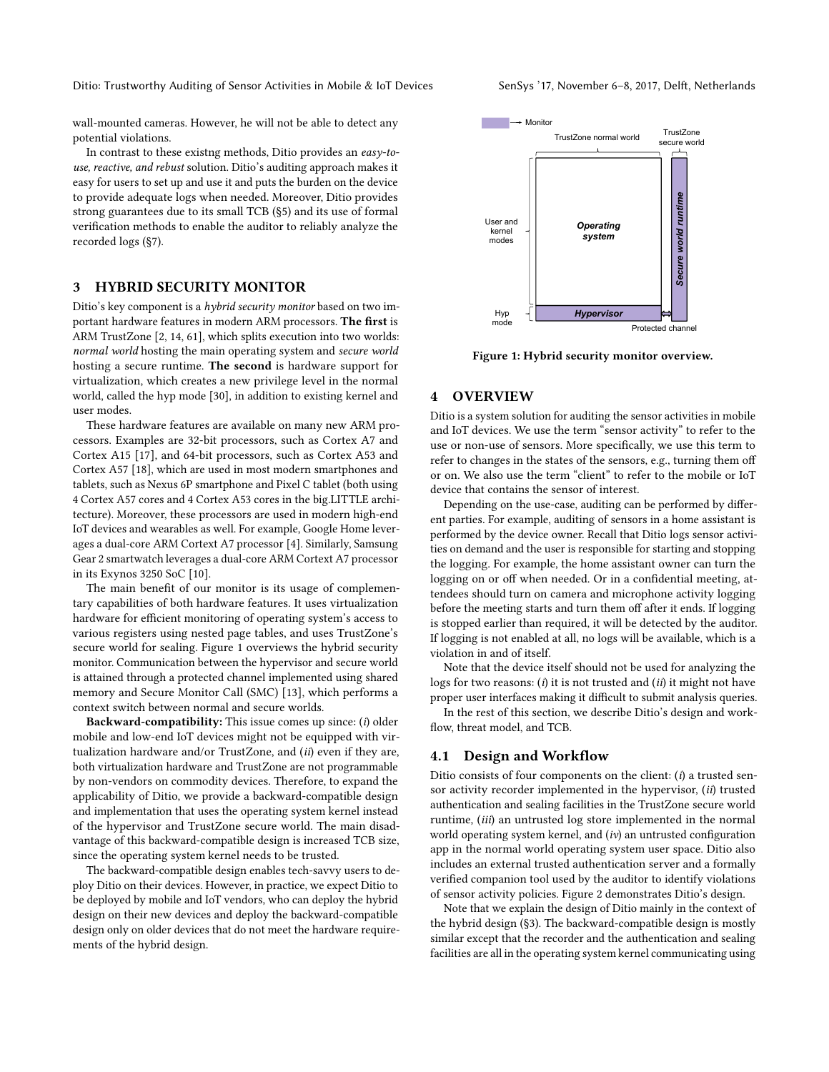wall-mounted cameras. However, he will not be able to detect any potential violations.

In contrast to these existng methods, Ditio provides an easy-touse, reactive, and rebust solution. Ditio's auditing approach makes it easy for users to set up and use it and puts the burden on the device to provide adequate logs when needed. Moreover, Ditio provides strong guarantees due to its small TCB ([§5\)](#page-5-0) and its use of formal verification methods to enable the auditor to reliably analyze the recorded logs ([§7\)](#page-7-0).

# <span id="page-2-0"></span>3 HYBRID SECURITY MONITOR

Ditio's key component is a hybrid security monitor based on two important hardware features in modern ARM processors. The first is ARM TrustZone [\[2,](#page-13-1) [14,](#page-13-3) [61\]](#page-13-4), which splits execution into two worlds: normal world hosting the main operating system and secure world hosting a secure runtime. The second is hardware support for virtualization, which creates a new privilege level in the normal world, called the hyp mode [\[30\]](#page-13-9), in addition to existing kernel and user modes.

These hardware features are available on many new ARM processors. Examples are 32-bit processors, such as Cortex A7 and Cortex A15 [\[17\]](#page-13-5), and 64-bit processors, such as Cortex A53 and Cortex A57 [\[18\]](#page-13-6), which are used in most modern smartphones and tablets, such as Nexus 6P smartphone and Pixel C tablet (both using 4 Cortex A57 cores and 4 Cortex A53 cores in the big.LITTLE architecture). Moreover, these processors are used in modern high-end IoT devices and wearables as well. For example, Google Home leverages a dual-core ARM Cortext A7 processor [\[4\]](#page-13-10). Similarly, Samsung Gear 2 smartwatch leverages a dual-core ARM Cortext A7 processor in its Exynos 3250 SoC [\[10\]](#page-13-11).

The main benefit of our monitor is its usage of complementary capabilities of both hardware features. It uses virtualization hardware for efficient monitoring of operating system's access to various registers using nested page tables, and uses TrustZone's secure world for sealing. Figure [1](#page-2-1) overviews the hybrid security monitor. Communication between the hypervisor and secure world is attained through a protected channel implemented using shared memory and Secure Monitor Call (SMC) [\[13\]](#page-13-2), which performs a context switch between normal and secure worlds.

Backward-compatibility: This issue comes up since: (i) older mobile and low-end IoT devices might not be equipped with virtualization hardware and/or TrustZone, and (ii) even if they are, both virtualization hardware and TrustZone are not programmable by non-vendors on commodity devices. Therefore, to expand the applicability of Ditio, we provide a backward-compatible design and implementation that uses the operating system kernel instead of the hypervisor and TrustZone secure world. The main disadvantage of this backward-compatible design is increased TCB size, since the operating system kernel needs to be trusted.

The backward-compatible design enables tech-savvy users to deploy Ditio on their devices. However, in practice, we expect Ditio to be deployed by mobile and IoT vendors, who can deploy the hybrid design on their new devices and deploy the backward-compatible design only on older devices that do not meet the hardware requirements of the hybrid design.

<span id="page-2-1"></span>

Figure 1: Hybrid security monitor overview.

#### 4 OVERVIEW

Ditio is a system solution for auditing the sensor activities in mobile and IoT devices. We use the term "sensor activity" to refer to the use or non-use of sensors. More specifically, we use this term to refer to changes in the states of the sensors, e.g., turning them off or on. We also use the term "client" to refer to the mobile or IoT device that contains the sensor of interest.

Depending on the use-case, auditing can be performed by different parties. For example, auditing of sensors in a home assistant is performed by the device owner. Recall that Ditio logs sensor activities on demand and the user is responsible for starting and stopping the logging. For example, the home assistant owner can turn the logging on or off when needed. Or in a confidential meeting, attendees should turn on camera and microphone activity logging before the meeting starts and turn them off after it ends. If logging is stopped earlier than required, it will be detected by the auditor. If logging is not enabled at all, no logs will be available, which is a violation in and of itself.

Note that the device itself should not be used for analyzing the logs for two reasons: (i) it is not trusted and (ii) it might not have proper user interfaces making it difficult to submit analysis queries.

In the rest of this section, we describe Ditio's design and workflow, threat model, and TCB.

# <span id="page-2-2"></span>4.1 Design and Workflow

Ditio consists of four components on the client:  $(i)$  a trusted sensor activity recorder implemented in the hypervisor, (ii) trusted authentication and sealing facilities in the TrustZone secure world runtime, (iii) an untrusted log store implemented in the normal world operating system kernel, and  $(iv)$  an untrusted configuration app in the normal world operating system user space. Ditio also includes an external trusted authentication server and a formally verified companion tool used by the auditor to identify violations of sensor activity policies. Figure [2](#page-3-0) demonstrates Ditio's design.

Note that we explain the design of Ditio mainly in the context of the hybrid design ([§3\)](#page-2-0). The backward-compatible design is mostly similar except that the recorder and the authentication and sealing facilities are all in the operating system kernel communicating using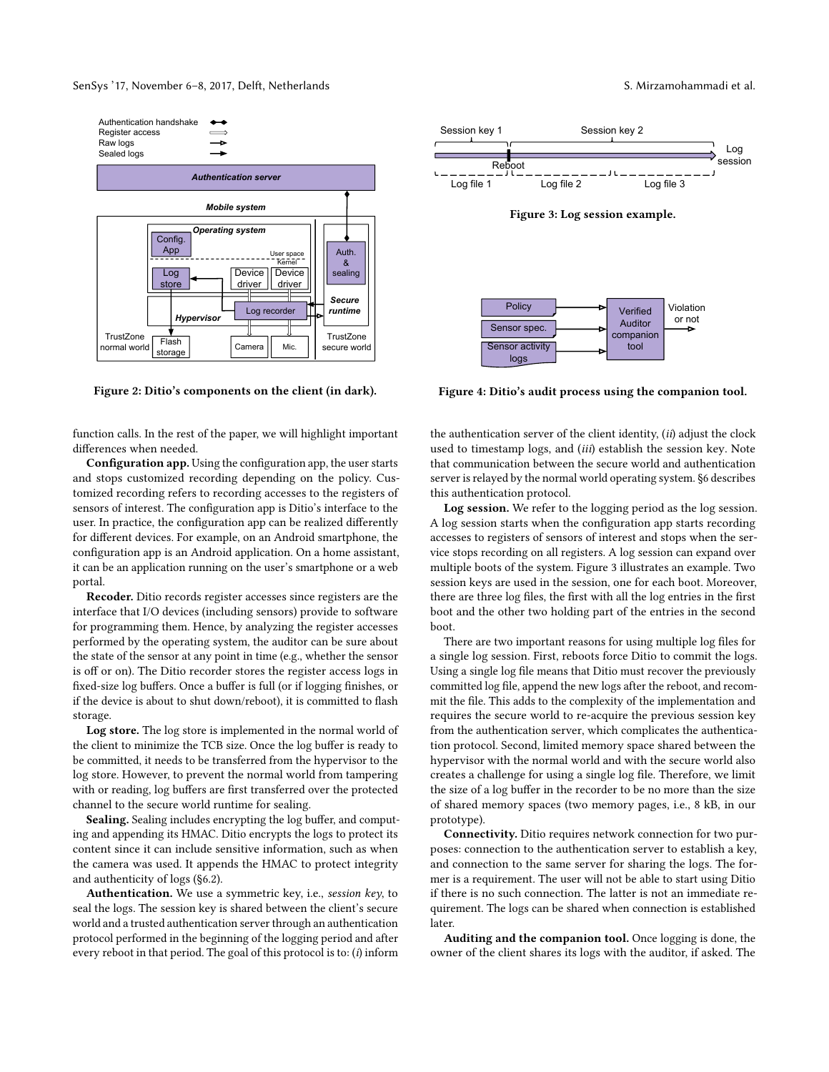<span id="page-3-0"></span>

Figure 2: Ditio's components on the client (in dark).

function calls. In the rest of the paper, we will highlight important differences when needed.

Configuration app. Using the configuration app, the user starts and stops customized recording depending on the policy. Customized recording refers to recording accesses to the registers of sensors of interest. The configuration app is Ditio's interface to the user. In practice, the configuration app can be realized differently for different devices. For example, on an Android smartphone, the configuration app is an Android application. On a home assistant, it can be an application running on the user's smartphone or a web portal.

Recoder. Ditio records register accesses since registers are the interface that I/O devices (including sensors) provide to software for programming them. Hence, by analyzing the register accesses performed by the operating system, the auditor can be sure about the state of the sensor at any point in time (e.g., whether the sensor is off or on). The Ditio recorder stores the register access logs in fixed-size log buffers. Once a buffer is full (or if logging finishes, or if the device is about to shut down/reboot), it is committed to flash storage.

Log store. The log store is implemented in the normal world of the client to minimize the TCB size. Once the log buffer is ready to be committed, it needs to be transferred from the hypervisor to the log store. However, to prevent the normal world from tampering with or reading, log buffers are first transferred over the protected channel to the secure world runtime for sealing.

Sealing. Sealing includes encrypting the log buffer, and computing and appending its HMAC. Ditio encrypts the logs to protect its content since it can include sensitive information, such as when the camera was used. It appends the HMAC to protect integrity and authenticity of logs ([§6.2\)](#page-7-1).

Authentication. We use a symmetric key, i.e., session key, to seal the logs. The session key is shared between the client's secure world and a trusted authentication server through an authentication protocol performed in the beginning of the logging period and after every reboot in that period. The goal of this protocol is to:  $(i)$  inform



<span id="page-3-1"></span>

<span id="page-3-2"></span>

Figure 4: Ditio's audit process using the companion tool.

the authentication server of the client identity, (ii) adjust the clock used to timestamp logs, and (iii) establish the session key. Note that communication between the secure world and authentication server is relayed by the normal world operating system. [§6](#page-6-0) describes this authentication protocol.

Log session. We refer to the logging period as the log session. A log session starts when the configuration app starts recording accesses to registers of sensors of interest and stops when the service stops recording on all registers. A log session can expand over multiple boots of the system. Figure [3](#page-3-1) illustrates an example. Two session keys are used in the session, one for each boot. Moreover, there are three log files, the first with all the log entries in the first boot and the other two holding part of the entries in the second boot.

There are two important reasons for using multiple log files for a single log session. First, reboots force Ditio to commit the logs. Using a single log file means that Ditio must recover the previously committed log file, append the new logs after the reboot, and recommit the file. This adds to the complexity of the implementation and requires the secure world to re-acquire the previous session key from the authentication server, which complicates the authentication protocol. Second, limited memory space shared between the hypervisor with the normal world and with the secure world also creates a challenge for using a single log file. Therefore, we limit the size of a log buffer in the recorder to be no more than the size of shared memory spaces (two memory pages, i.e., 8 kB, in our prototype).

Connectivity. Ditio requires network connection for two purposes: connection to the authentication server to establish a key, and connection to the same server for sharing the logs. The former is a requirement. The user will not be able to start using Ditio if there is no such connection. The latter is not an immediate requirement. The logs can be shared when connection is established later.

Auditing and the companion tool. Once logging is done, the owner of the client shares its logs with the auditor, if asked. The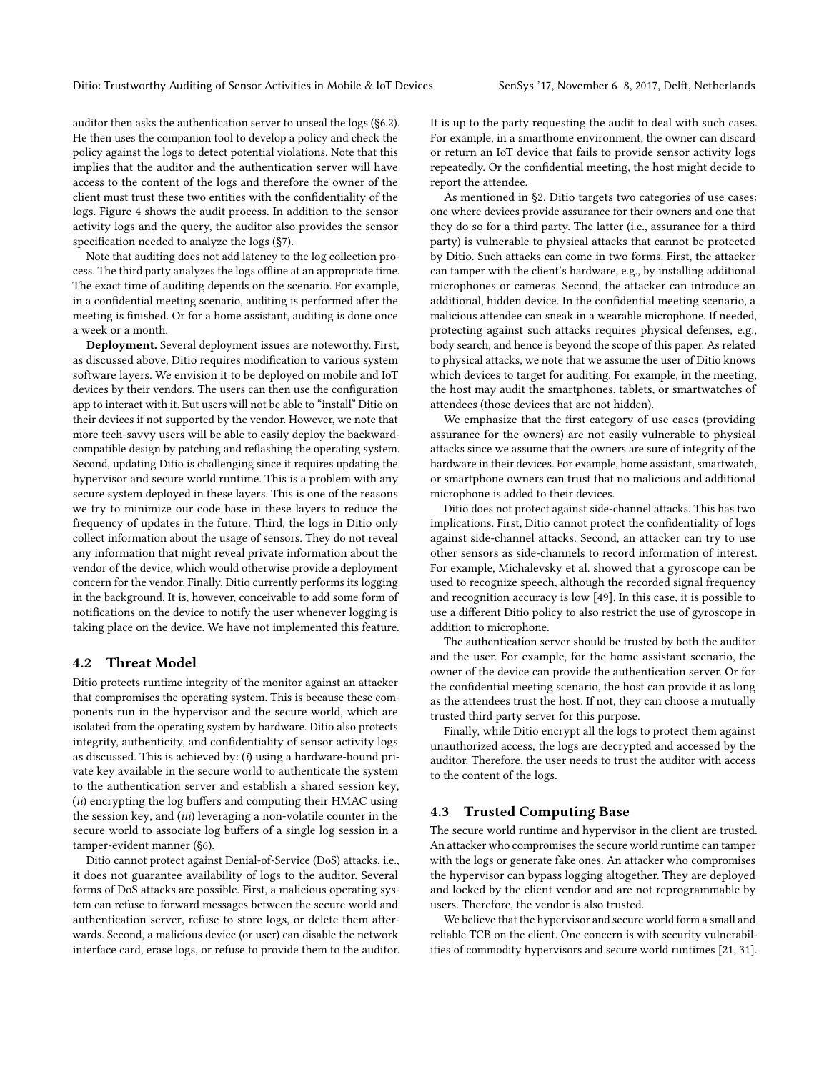auditor then asks the authentication server to unseal the logs ([§6.2\)](#page-7-1). He then uses the companion tool to develop a policy and check the policy against the logs to detect potential violations. Note that this implies that the auditor and the authentication server will have access to the content of the logs and therefore the owner of the client must trust these two entities with the confidentiality of the logs. Figure [4](#page-3-2) shows the audit process. In addition to the sensor activity logs and the query, the auditor also provides the sensor specification needed to analyze the logs ([§7\)](#page-7-0).

Note that auditing does not add latency to the log collection process. The third party analyzes the logs offline at an appropriate time. The exact time of auditing depends on the scenario. For example, in a confidential meeting scenario, auditing is performed after the meeting is finished. Or for a home assistant, auditing is done once a week or a month.

Deployment. Several deployment issues are noteworthy. First, as discussed above, Ditio requires modification to various system software layers. We envision it to be deployed on mobile and IoT devices by their vendors. The users can then use the configuration app to interact with it. But users will not be able to "install" Ditio on their devices if not supported by the vendor. However, we note that more tech-savvy users will be able to easily deploy the backwardcompatible design by patching and reflashing the operating system. Second, updating Ditio is challenging since it requires updating the hypervisor and secure world runtime. This is a problem with any secure system deployed in these layers. This is one of the reasons we try to minimize our code base in these layers to reduce the frequency of updates in the future. Third, the logs in Ditio only collect information about the usage of sensors. They do not reveal any information that might reveal private information about the vendor of the device, which would otherwise provide a deployment concern for the vendor. Finally, Ditio currently performs its logging in the background. It is, however, conceivable to add some form of notifications on the device to notify the user whenever logging is taking place on the device. We have not implemented this feature.

#### 4.2 Threat Model

Ditio protects runtime integrity of the monitor against an attacker that compromises the operating system. This is because these components run in the hypervisor and the secure world, which are isolated from the operating system by hardware. Ditio also protects integrity, authenticity, and confidentiality of sensor activity logs as discussed. This is achieved by: (i) using a hardware-bound private key available in the secure world to authenticate the system to the authentication server and establish a shared session key, (ii) encrypting the log buffers and computing their HMAC using the session key, and (iii) leveraging a non-volatile counter in the secure world to associate log buffers of a single log session in a tamper-evident manner ([§6\)](#page-6-0).

Ditio cannot protect against Denial-of-Service (DoS) attacks, i.e., it does not guarantee availability of logs to the auditor. Several forms of DoS attacks are possible. First, a malicious operating system can refuse to forward messages between the secure world and authentication server, refuse to store logs, or delete them afterwards. Second, a malicious device (or user) can disable the network interface card, erase logs, or refuse to provide them to the auditor. It is up to the party requesting the audit to deal with such cases. For example, in a smarthome environment, the owner can discard or return an IoT device that fails to provide sensor activity logs repeatedly. Or the confidential meeting, the host might decide to report the attendee.

As mentioned in [§2,](#page-1-0) Ditio targets two categories of use cases: one where devices provide assurance for their owners and one that they do so for a third party. The latter (i.e., assurance for a third party) is vulnerable to physical attacks that cannot be protected by Ditio. Such attacks can come in two forms. First, the attacker can tamper with the client's hardware, e.g., by installing additional microphones or cameras. Second, the attacker can introduce an additional, hidden device. In the confidential meeting scenario, a malicious attendee can sneak in a wearable microphone. If needed, protecting against such attacks requires physical defenses, e.g., body search, and hence is beyond the scope of this paper. As related to physical attacks, we note that we assume the user of Ditio knows which devices to target for auditing. For example, in the meeting, the host may audit the smartphones, tablets, or smartwatches of attendees (those devices that are not hidden).

We emphasize that the first category of use cases (providing assurance for the owners) are not easily vulnerable to physical attacks since we assume that the owners are sure of integrity of the hardware in their devices. For example, home assistant, smartwatch, or smartphone owners can trust that no malicious and additional microphone is added to their devices.

Ditio does not protect against side-channel attacks. This has two implications. First, Ditio cannot protect the confidentiality of logs against side-channel attacks. Second, an attacker can try to use other sensors as side-channels to record information of interest. For example, Michalevsky et al. showed that a gyroscope can be used to recognize speech, although the recorded signal frequency and recognition accuracy is low [\[49\]](#page-13-12). In this case, it is possible to use a different Ditio policy to also restrict the use of gyroscope in addition to microphone.

The authentication server should be trusted by both the auditor and the user. For example, for the home assistant scenario, the owner of the device can provide the authentication server. Or for the confidential meeting scenario, the host can provide it as long as the attendees trust the host. If not, they can choose a mutually trusted third party server for this purpose.

Finally, while Ditio encrypt all the logs to protect them against unauthorized access, the logs are decrypted and accessed by the auditor. Therefore, the user needs to trust the auditor with access to the content of the logs.

# 4.3 Trusted Computing Base

The secure world runtime and hypervisor in the client are trusted. An attacker who compromises the secure world runtime can tamper with the logs or generate fake ones. An attacker who compromises the hypervisor can bypass logging altogether. They are deployed and locked by the client vendor and are not reprogrammable by users. Therefore, the vendor is also trusted.

We believe that the hypervisor and secure world form a small and reliable TCB on the client. One concern is with security vulnerabilities of commodity hypervisors and secure world runtimes [\[21,](#page-13-13) [31\]](#page-13-14).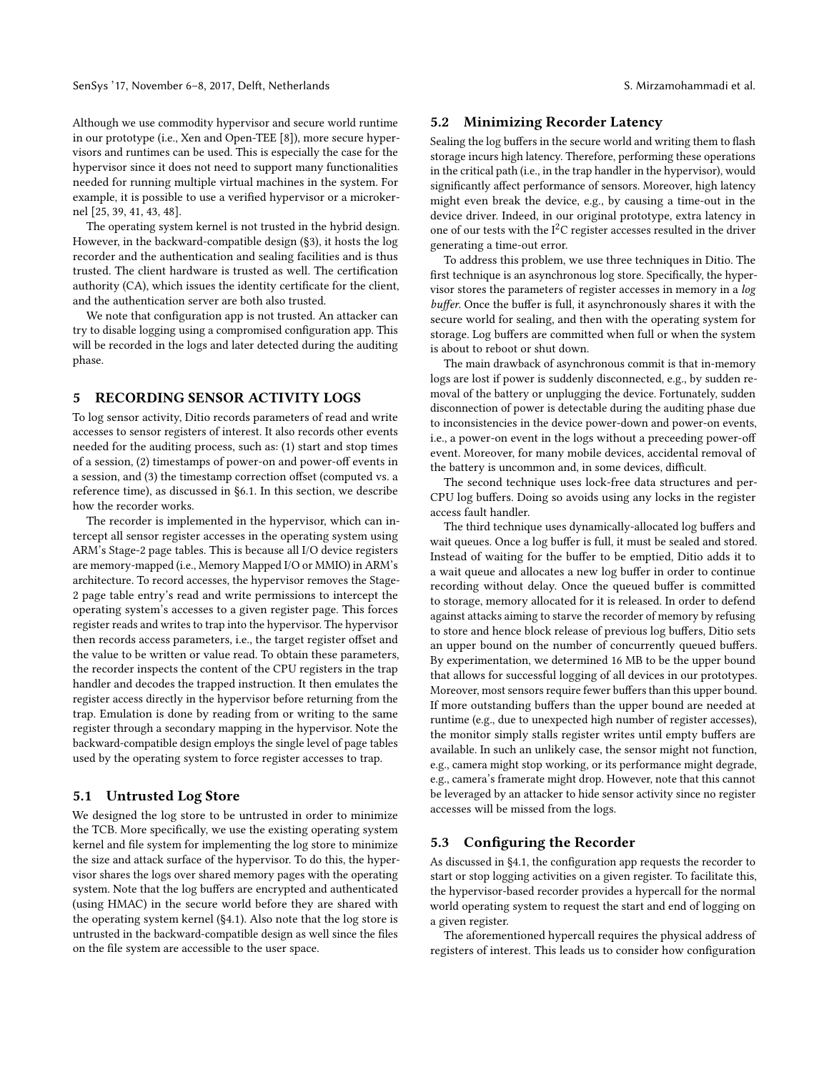SenSys '17, November 6–8, 2017, Delft, Netherlands S. Mirzamohammadi et al.

Although we use commodity hypervisor and secure world runtime in our prototype (i.e., Xen and Open-TEE [\[8\]](#page-13-15)), more secure hypervisors and runtimes can be used. This is especially the case for the hypervisor since it does not need to support many functionalities needed for running multiple virtual machines in the system. For example, it is possible to use a verified hypervisor or a microkernel [\[25,](#page-13-16) [39,](#page-13-17) [41,](#page-13-18) [43,](#page-13-19) [48\]](#page-13-20).

The operating system kernel is not trusted in the hybrid design. However, in the backward-compatible design ([§3\)](#page-2-0), it hosts the log recorder and the authentication and sealing facilities and is thus trusted. The client hardware is trusted as well. The certification authority (CA), which issues the identity certificate for the client, and the authentication server are both also trusted.

We note that configuration app is not trusted. An attacker can try to disable logging using a compromised configuration app. This will be recorded in the logs and later detected during the auditing phase.

# <span id="page-5-0"></span>5 RECORDING SENSOR ACTIVITY LOGS

To log sensor activity, Ditio records parameters of read and write accesses to sensor registers of interest. It also records other events needed for the auditing process, such as: (1) start and stop times of a session, (2) timestamps of power-on and power-off events in a session, and (3) the timestamp correction offset (computed vs. a reference time), as discussed in [§6.1.](#page-6-1) In this section, we describe how the recorder works.

The recorder is implemented in the hypervisor, which can intercept all sensor register accesses in the operating system using ARM's Stage-2 page tables. This is because all I/O device registers are memory-mapped (i.e., Memory Mapped I/O or MMIO) in ARM's architecture. To record accesses, the hypervisor removes the Stage-2 page table entry's read and write permissions to intercept the operating system's accesses to a given register page. This forces register reads and writes to trap into the hypervisor. The hypervisor then records access parameters, i.e., the target register offset and the value to be written or value read. To obtain these parameters, the recorder inspects the content of the CPU registers in the trap handler and decodes the trapped instruction. It then emulates the register access directly in the hypervisor before returning from the trap. Emulation is done by reading from or writing to the same register through a secondary mapping in the hypervisor. Note the backward-compatible design employs the single level of page tables used by the operating system to force register accesses to trap.

# 5.1 Untrusted Log Store

We designed the log store to be untrusted in order to minimize the TCB. More specifically, we use the existing operating system kernel and file system for implementing the log store to minimize the size and attack surface of the hypervisor. To do this, the hypervisor shares the logs over shared memory pages with the operating system. Note that the log buffers are encrypted and authenticated (using HMAC) in the secure world before they are shared with the operating system kernel ([§4.1\)](#page-2-2). Also note that the log store is untrusted in the backward-compatible design as well since the files on the file system are accessible to the user space.

#### <span id="page-5-1"></span>5.2 Minimizing Recorder Latency

Sealing the log buffers in the secure world and writing them to flash storage incurs high latency. Therefore, performing these operations in the critical path (i.e., in the trap handler in the hypervisor), would significantly affect performance of sensors. Moreover, high latency might even break the device, e.g., by causing a time-out in the device driver. Indeed, in our original prototype, extra latency in one of our tests with the  $I<sup>2</sup>C$  register accesses resulted in the driver generating a time-out error.

To address this problem, we use three techniques in Ditio. The first technique is an asynchronous log store. Specifically, the hypervisor stores the parameters of register accesses in memory in a log buffer. Once the buffer is full, it asynchronously shares it with the secure world for sealing, and then with the operating system for storage. Log buffers are committed when full or when the system is about to reboot or shut down.

The main drawback of asynchronous commit is that in-memory logs are lost if power is suddenly disconnected, e.g., by sudden removal of the battery or unplugging the device. Fortunately, sudden disconnection of power is detectable during the auditing phase due to inconsistencies in the device power-down and power-on events, i.e., a power-on event in the logs without a preceeding power-off event. Moreover, for many mobile devices, accidental removal of the battery is uncommon and, in some devices, difficult.

The second technique uses lock-free data structures and per-CPU log buffers. Doing so avoids using any locks in the register access fault handler.

The third technique uses dynamically-allocated log buffers and wait queues. Once a log buffer is full, it must be sealed and stored. Instead of waiting for the buffer to be emptied, Ditio adds it to a wait queue and allocates a new log buffer in order to continue recording without delay. Once the queued buffer is committed to storage, memory allocated for it is released. In order to defend against attacks aiming to starve the recorder of memory by refusing to store and hence block release of previous log buffers, Ditio sets an upper bound on the number of concurrently queued buffers. By experimentation, we determined 16 MB to be the upper bound that allows for successful logging of all devices in our prototypes. Moreover, most sensors require fewer buffers than this upper bound. If more outstanding buffers than the upper bound are needed at runtime (e.g., due to unexpected high number of register accesses), the monitor simply stalls register writes until empty buffers are available. In such an unlikely case, the sensor might not function, e.g., camera might stop working, or its performance might degrade, e.g., camera's framerate might drop. However, note that this cannot be leveraged by an attacker to hide sensor activity since no register accesses will be missed from the logs.

# <span id="page-5-2"></span>5.3 Configuring the Recorder

As discussed in [§4.1,](#page-2-2) the configuration app requests the recorder to start or stop logging activities on a given register. To facilitate this, the hypervisor-based recorder provides a hypercall for the normal world operating system to request the start and end of logging on a given register.

The aforementioned hypercall requires the physical address of registers of interest. This leads us to consider how configuration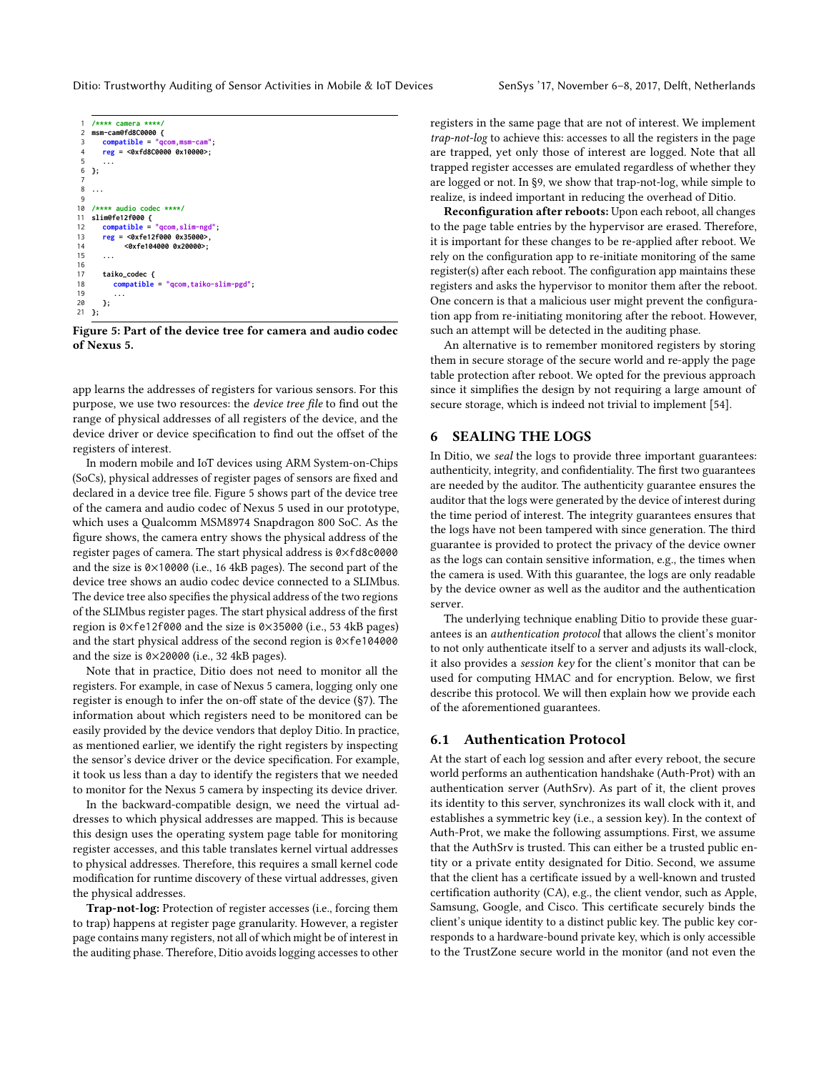```
1 /**** camera ****/
    msm-cam@fd8C0000 {<br>compatible = "qc3 compatible = "qcom,msm-cam";
4 reg = <0xfd8C0000 0x10000>;
 5 ...
    6 };
 7
 8 ...
 9
10 /**** audio codec ****/
    11 slim@fe12f000 {
12 compatible = "qcom,slim-ngd";
13 reg = <0xfe12f000 0x35000>,<br>14 <0xfe104000 0x20000>;
               14 <0xfe104000 0x20000>;
15 ...
16<br>17
        17 taiko_codec {
18 compatible = "qcom,taiko-slim-pgd";
19 ...
        20 };
21 };
```
Figure 5: Part of the device tree for camera and audio codec of Nexus 5.

app learns the addresses of registers for various sensors. For this purpose, we use two resources: the device tree file to find out the range of physical addresses of all registers of the device, and the device driver or device specification to find out the offset of the registers of interest.

In modern mobile and IoT devices using ARM System-on-Chips (SoCs), physical addresses of register pages of sensors are fixed and declared in a device tree file. Figure [5](#page-6-2) shows part of the device tree of the camera and audio codec of Nexus 5 used in our prototype, which uses a Qualcomm MSM8974 Snapdragon 800 SoC. As the figure shows, the camera entry shows the physical address of the register pages of camera. The start physical address is 0×fd8c0000 and the size is 0×10000 (i.e., 16 4kB pages). The second part of the device tree shows an audio codec device connected to a SLIMbus. The device tree also specifies the physical address of the two regions of the SLIMbus register pages. The start physical address of the first region is 0×fe12f000 and the size is 0×35000 (i.e., 53 4kB pages) and the start physical address of the second region is 0×fe104000 and the size is 0×20000 (i.e., 32 4kB pages).

Note that in practice, Ditio does not need to monitor all the registers. For example, in case of Nexus 5 camera, logging only one register is enough to infer the on-off state of the device ([§7\)](#page-7-0). The information about which registers need to be monitored can be easily provided by the device vendors that deploy Ditio. In practice, as mentioned earlier, we identify the right registers by inspecting the sensor's device driver or the device specification. For example, it took us less than a day to identify the registers that we needed to monitor for the Nexus 5 camera by inspecting its device driver.

In the backward-compatible design, we need the virtual addresses to which physical addresses are mapped. This is because this design uses the operating system page table for monitoring register accesses, and this table translates kernel virtual addresses to physical addresses. Therefore, this requires a small kernel code modification for runtime discovery of these virtual addresses, given the physical addresses.

Trap-not-log: Protection of register accesses (i.e., forcing them to trap) happens at register page granularity. However, a register page contains many registers, not all of which might be of interest in the auditing phase. Therefore, Ditio avoids logging accesses to other registers in the same page that are not of interest. We implement trap-not-log to achieve this: accesses to all the registers in the page are trapped, yet only those of interest are logged. Note that all trapped register accesses are emulated regardless of whether they are logged or not. In [§9,](#page-9-0) we show that trap-not-log, while simple to realize, is indeed important in reducing the overhead of Ditio.

Reconfiguration after reboots: Upon each reboot, all changes to the page table entries by the hypervisor are erased. Therefore, it is important for these changes to be re-applied after reboot. We rely on the configuration app to re-initiate monitoring of the same register(s) after each reboot. The configuration app maintains these registers and asks the hypervisor to monitor them after the reboot. One concern is that a malicious user might prevent the configuration app from re-initiating monitoring after the reboot. However, such an attempt will be detected in the auditing phase.

An alternative is to remember monitored registers by storing them in secure storage of the secure world and re-apply the page table protection after reboot. We opted for the previous approach since it simplifies the design by not requiring a large amount of secure storage, which is indeed not trivial to implement [\[54\]](#page-13-21).

# <span id="page-6-0"></span>6 SEALING THE LOGS

In Ditio, we seal the logs to provide three important guarantees: authenticity, integrity, and confidentiality. The first two guarantees are needed by the auditor. The authenticity guarantee ensures the auditor that the logs were generated by the device of interest during the time period of interest. The integrity guarantees ensures that the logs have not been tampered with since generation. The third guarantee is provided to protect the privacy of the device owner as the logs can contain sensitive information, e.g., the times when the camera is used. With this guarantee, the logs are only readable by the device owner as well as the auditor and the authentication server.

The underlying technique enabling Ditio to provide these guarantees is an authentication protocol that allows the client's monitor to not only authenticate itself to a server and adjusts its wall-clock, it also provides a session key for the client's monitor that can be used for computing HMAC and for encryption. Below, we first describe this protocol. We will then explain how we provide each of the aforementioned guarantees.

#### <span id="page-6-1"></span>6.1 Authentication Protocol

At the start of each log session and after every reboot, the secure world performs an authentication handshake (Auth-Prot) with an authentication server (AuthSrv). As part of it, the client proves its identity to this server, synchronizes its wall clock with it, and establishes a symmetric key (i.e., a session key). In the context of Auth-Prot, we make the following assumptions. First, we assume that the AuthSrv is trusted. This can either be a trusted public entity or a private entity designated for Ditio. Second, we assume that the client has a certificate issued by a well-known and trusted certification authority (CA), e.g., the client vendor, such as Apple, Samsung, Google, and Cisco. This certificate securely binds the client's unique identity to a distinct public key. The public key corresponds to a hardware-bound private key, which is only accessible to the TrustZone secure world in the monitor (and not even the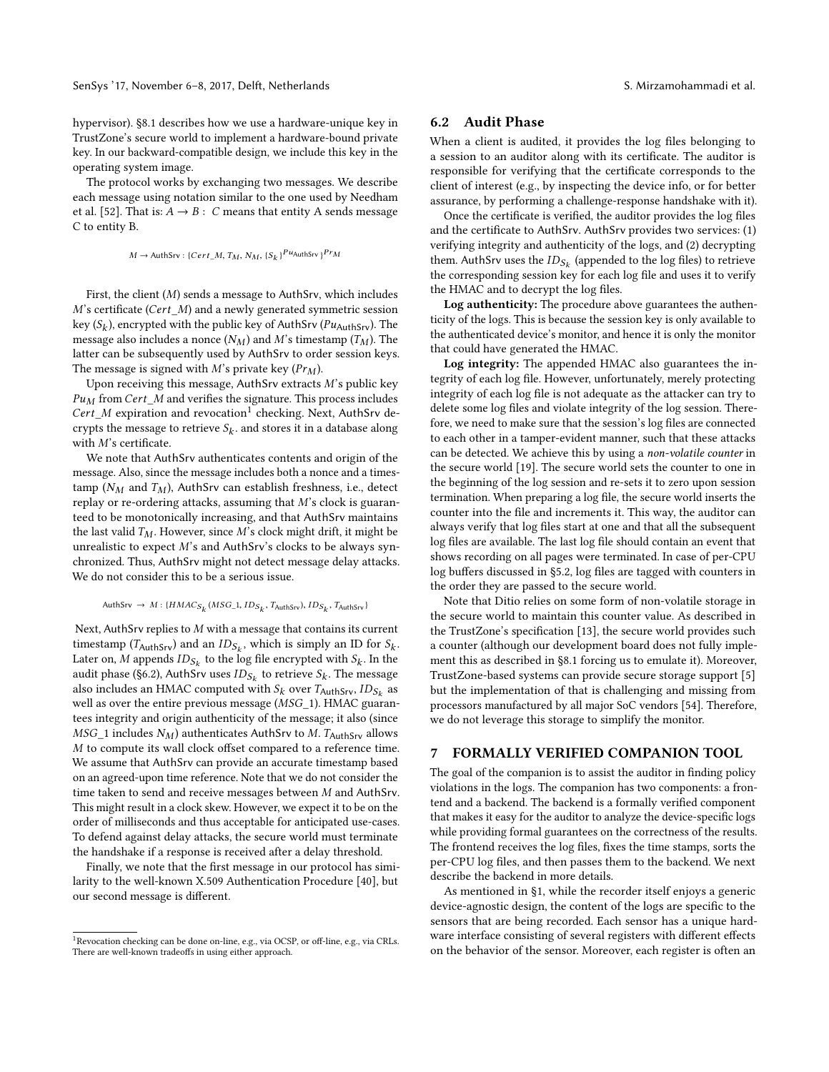SenSys '17, November 6–8, 2017, Delft, Netherlands S. Mirzamohammadi et al.

hypervisor). [§8.1](#page-9-1) describes how we use a hardware-unique key in TrustZone's secure world to implement a hardware-bound private key. In our backward-compatible design, we include this key in the operating system image.

The protocol works by exchanging two messages. We describe each message using notation similar to the one used by Needham et al. [\[52\]](#page-13-22). That is:  $A \rightarrow B : C$  means that entity A sends message C to entity B.

$$
M \to \text{AuthSrv}: \{Cert\_M, T_M, N_M, \{S_k\}^{Pu} \text{AuthSrv}\}^{Pr} M
$$

First, the client (M) sends a message to AuthSrv, which includes M's certificate (Cert\_M) and a newly generated symmetric session key ( $S_k$ ), encrypted with the public key of AuthSrv ( $Pu_{\text{AuthSrv}}$ ). The message also includes a nonce  $(N_M)$  and M's timestamp  $(T_M)$ . The latter can be subsequently used by AuthSrv to order session keys. The message is signed with M's private key  $(Pr_M)$ .

Upon receiving this message, AuthSrv extracts  $M$ 's public key  $Pu<sub>M</sub>$  from Cert\_M and verifies the signature. This process includes Cert\_M expiration and revocation<sup>[1](#page-7-2)</sup> checking. Next, AuthSrv decrypts the message to retrieve  $S_k$ . and stores it in a database along with M's certificate.

We note that AuthSrv authenticates contents and origin of the message. Also, since the message includes both a nonce and a timestamp ( $N_M$  and  $T_M$ ), AuthSrv can establish freshness, i.e., detect replay or re-ordering attacks, assuming that M's clock is guaranteed to be monotonically increasing, and that AuthSrv maintains the last valid  $T_M$ . However, since M's clock might drift, it might be unrealistic to expect  $M$ 's and AuthSrv's clocks to be always synchronized. Thus, AuthSrv might not detect message delay attacks. We do not consider this to be a serious issue.

$$
\mathsf{AuthSrv} \rightarrow M: \{HMAC_{S_k}(MSC_1, ID_{S_k}, T_{\text{AuthSrv}}), ID_{S_k}, T_{\text{AuthSrv}}\}
$$

Next, AuthSrv replies to M with a message that contains its current timestamp ( $T_{\text{AuthSrv}}$ ) and an  $ID_{S_k}$ , which is simply an ID for  $S_k$ . Later on,  $M$  appends  $ID_{S_k}$  to the log file encrypted with  $S_k$ . In the audit phase ([§6.2\)](#page-7-1), AuthSrv uses  $\mathit{ID}_{\mathcal{S}_k}$  to retrieve  $\mathcal{S}_k.$  The message also includes an HMAC computed with  $S_k$  over  $T_{\mathsf{AuthSrv}}, \mathit{ID}_{S_k}$  as well as over the entire previous message (*MSG*\_1). HMAC guarantees integrity and origin authenticity of the message; it also (since  $MSG\_1$  includes  $N_M$ ) authenticates AuthSrv to M. T<sub>AuthSrv</sub> allows M to compute its wall clock offset compared to a reference time. We assume that AuthSrv can provide an accurate timestamp based on an agreed-upon time reference. Note that we do not consider the time taken to send and receive messages between M and AuthSrv. This might result in a clock skew. However, we expect it to be on the order of milliseconds and thus acceptable for anticipated use-cases. To defend against delay attacks, the secure world must terminate the handshake if a response is received after a delay threshold.

Finally, we note that the first message in our protocol has similarity to the well-known X.509 Authentication Procedure [\[40\]](#page-13-23), but our second message is different.

#### <span id="page-7-1"></span>6.2 Audit Phase

When a client is audited, it provides the log files belonging to a session to an auditor along with its certificate. The auditor is responsible for verifying that the certificate corresponds to the client of interest (e.g., by inspecting the device info, or for better assurance, by performing a challenge-response handshake with it).

Once the certificate is verified, the auditor provides the log files and the certificate to AuthSrv. AuthSrv provides two services: (1) verifying integrity and authenticity of the logs, and (2) decrypting them. AuthSrv uses the  $\mathit{ID}_{\mathcal{S}_k}$  (appended to the log files) to retrieve the corresponding session key for each log file and uses it to verify the HMAC and to decrypt the log files.

Log authenticity: The procedure above guarantees the authenticity of the logs. This is because the session key is only available to the authenticated device's monitor, and hence it is only the monitor that could have generated the HMAC.

Log integrity: The appended HMAC also guarantees the integrity of each log file. However, unfortunately, merely protecting integrity of each log file is not adequate as the attacker can try to delete some log files and violate integrity of the log session. Therefore, we need to make sure that the session's log files are connected to each other in a tamper-evident manner, such that these attacks can be detected. We achieve this by using a non-volatile counter in the secure world [\[19\]](#page-13-24). The secure world sets the counter to one in the beginning of the log session and re-sets it to zero upon session termination. When preparing a log file, the secure world inserts the counter into the file and increments it. This way, the auditor can always verify that log files start at one and that all the subsequent log files are available. The last log file should contain an event that shows recording on all pages were terminated. In case of per-CPU log buffers discussed in [§5.2,](#page-5-1) log files are tagged with counters in the order they are passed to the secure world.

Note that Ditio relies on some form of non-volatile storage in the secure world to maintain this counter value. As described in the TrustZone's specification [\[13\]](#page-13-2), the secure world provides such a counter (although our development board does not fully implement this as described in [§8.1](#page-9-1) forcing us to emulate it). Moreover, TrustZone-based systems can provide secure storage support [\[5\]](#page-13-25) but the implementation of that is challenging and missing from processors manufactured by all major SoC vendors [\[54\]](#page-13-21). Therefore, we do not leverage this storage to simplify the monitor.

#### <span id="page-7-0"></span>7 FORMALLY VERIFIED COMPANION TOOL

The goal of the companion is to assist the auditor in finding policy violations in the logs. The companion has two components: a frontend and a backend. The backend is a formally verified component that makes it easy for the auditor to analyze the device-specific logs while providing formal guarantees on the correctness of the results. The frontend receives the log files, fixes the time stamps, sorts the per-CPU log files, and then passes them to the backend. We next describe the backend in more details.

As mentioned in [§1,](#page-0-0) while the recorder itself enjoys a generic device-agnostic design, the content of the logs are specific to the sensors that are being recorded. Each sensor has a unique hardware interface consisting of several registers with different effects on the behavior of the sensor. Moreover, each register is often an

<span id="page-7-2"></span><sup>&</sup>lt;sup>1</sup>Revocation checking can be done on-line, e.g., via OCSP, or off-line, e.g., via CRLs. There are well-known tradeoffs in using either approach.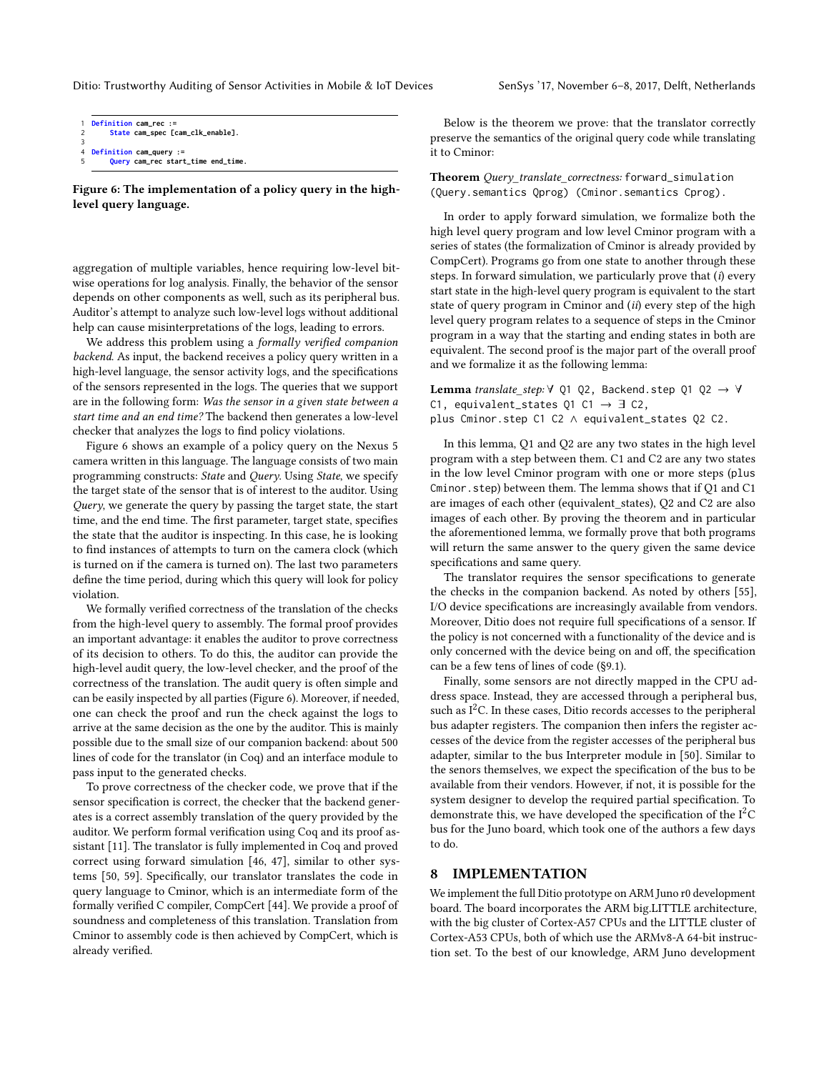```
1 Definition cam_rec :=
       2 State cam_spec [cam_clk_enable].
3
  4 Definition cam_query :=
       5 Query cam_rec start_time end_time.
```
Figure 6: The implementation of a policy query in the highlevel query language.

aggregation of multiple variables, hence requiring low-level bitwise operations for log analysis. Finally, the behavior of the sensor depends on other components as well, such as its peripheral bus. Auditor's attempt to analyze such low-level logs without additional help can cause misinterpretations of the logs, leading to errors.

We address this problem using a formally verified companion backend. As input, the backend receives a policy query written in a high-level language, the sensor activity logs, and the specifications of the sensors represented in the logs. The queries that we support are in the following form: Was the sensor in a given state between a start time and an end time? The backend then generates a low-level checker that analyzes the logs to find policy violations.

Figure [6](#page-8-0) shows an example of a policy query on the Nexus 5 camera written in this language. The language consists of two main programming constructs: State and Query. Using State, we specify the target state of the sensor that is of interest to the auditor. Using Query, we generate the query by passing the target state, the start time, and the end time. The first parameter, target state, specifies the state that the auditor is inspecting. In this case, he is looking to find instances of attempts to turn on the camera clock (which is turned on if the camera is turned on). The last two parameters define the time period, during which this query will look for policy violation.

We formally verified correctness of the translation of the checks from the high-level query to assembly. The formal proof provides an important advantage: it enables the auditor to prove correctness of its decision to others. To do this, the auditor can provide the high-level audit query, the low-level checker, and the proof of the correctness of the translation. The audit query is often simple and can be easily inspected by all parties (Figure [6\)](#page-8-0). Moreover, if needed, one can check the proof and run the check against the logs to arrive at the same decision as the one by the auditor. This is mainly possible due to the small size of our companion backend: about 500 lines of code for the translator (in Coq) and an interface module to pass input to the generated checks.

To prove correctness of the checker code, we prove that if the sensor specification is correct, the checker that the backend generates is a correct assembly translation of the query provided by the auditor. We perform formal verification using Coq and its proof assistant [\[11\]](#page-13-26). The translator is fully implemented in Coq and proved correct using forward simulation [\[46,](#page-13-27) [47\]](#page-13-28), similar to other systems [\[50,](#page-13-7) [59\]](#page-13-29). Specifically, our translator translates the code in query language to Cminor, which is an intermediate form of the formally verified C compiler, CompCert [\[44\]](#page-13-30). We provide a proof of soundness and completeness of this translation. Translation from Cminor to assembly code is then achieved by CompCert, which is already verified.

Below is the theorem we prove: that the translator correctly preserve the semantics of the original query code while translating it to Cminor:

Theorem Query\_translate\_correctness: forward\_simulation (Query.semantics Qprog) (Cminor.semantics Cprog).

In order to apply forward simulation, we formalize both the high level query program and low level Cminor program with a series of states (the formalization of Cminor is already provided by CompCert). Programs go from one state to another through these steps. In forward simulation, we particularly prove that  $(i)$  every start state in the high-level query program is equivalent to the start state of query program in Cminor and (ii) every step of the high level query program relates to a sequence of steps in the Cminor program in a way that the starting and ending states in both are equivalent. The second proof is the major part of the overall proof and we formalize it as the following lemma:

**Lemma** translate step:  $\forall$  Q1 Q2, Backend.step Q1 Q2  $\rightarrow \forall$ C1, equivalent\_states Q1 C1  $\rightarrow$  3 C2, plus Cminor.step C1 C2 ∧ equivalent\_states Q2 C2.

In this lemma, Q1 and Q2 are any two states in the high level program with a step between them. C1 and C2 are any two states in the low level Cminor program with one or more steps (plus Cminor.step) between them. The lemma shows that if Q1 and C1 are images of each other (equivalent\_states), Q2 and C2 are also images of each other. By proving the theorem and in particular the aforementioned lemma, we formally prove that both programs will return the same answer to the query given the same device specifications and same query.

The translator requires the sensor specifications to generate the checks in the companion backend. As noted by others [\[55\]](#page-13-31), I/O device specifications are increasingly available from vendors. Moreover, Ditio does not require full specifications of a sensor. If the policy is not concerned with a functionality of the device and is only concerned with the device being on and off, the specification can be a few tens of lines of code ([§9.1\)](#page-9-2).

Finally, some sensors are not directly mapped in the CPU address space. Instead, they are accessed through a peripheral bus, such as  $I<sup>2</sup>C$ . In these cases, Ditio records accesses to the peripheral bus adapter registers. The companion then infers the register accesses of the device from the register accesses of the peripheral bus adapter, similar to the bus Interpreter module in [\[50\]](#page-13-7). Similar to the senors themselves, we expect the specification of the bus to be available from their vendors. However, if not, it is possible for the system designer to develop the required partial specification. To demonstrate this, we have developed the specification of the  $I<sup>2</sup>C$ bus for the Juno board, which took one of the authors a few days to do.

# <span id="page-8-1"></span>8 IMPLEMENTATION

We implement the full Ditio prototype on ARM Juno r0 development board. The board incorporates the ARM big.LITTLE architecture, with the big cluster of Cortex-A57 CPUs and the LITTLE cluster of Cortex-A53 CPUs, both of which use the ARMv8-A 64-bit instruction set. To the best of our knowledge, ARM Juno development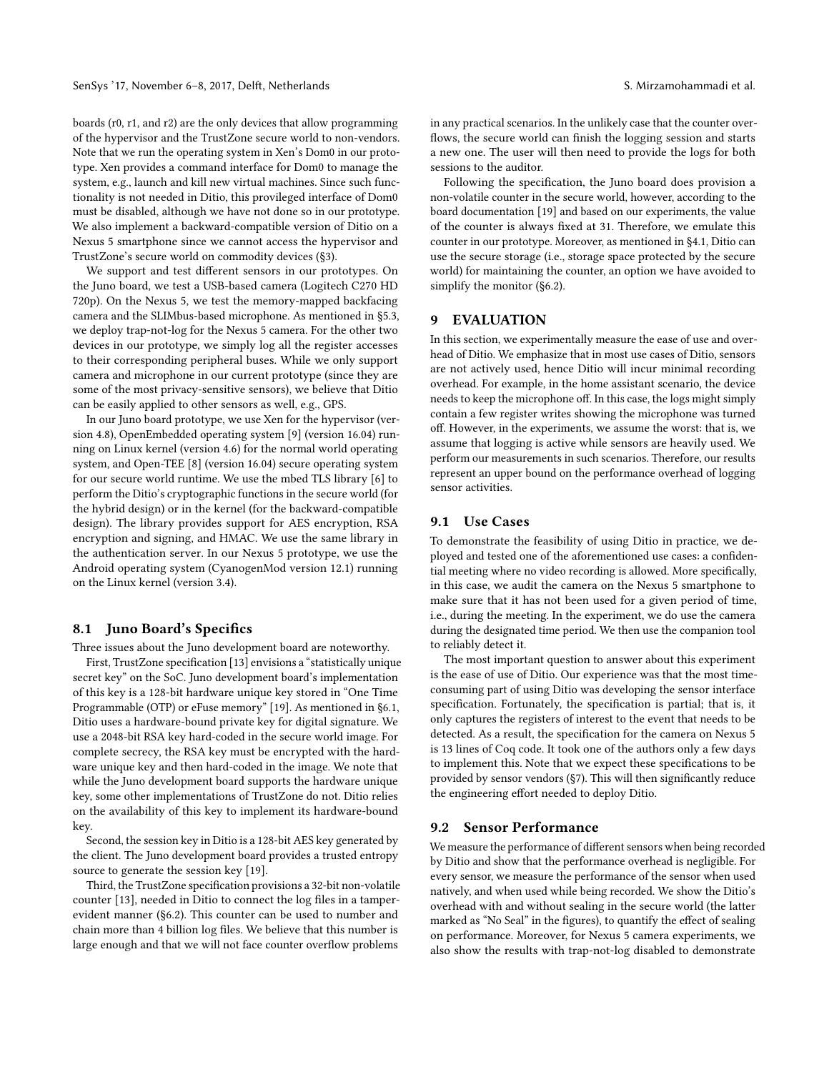boards (r0, r1, and r2) are the only devices that allow programming of the hypervisor and the TrustZone secure world to non-vendors. Note that we run the operating system in Xen's Dom0 in our prototype. Xen provides a command interface for Dom0 to manage the system, e.g., launch and kill new virtual machines. Since such functionality is not needed in Ditio, this provileged interface of Dom0 must be disabled, although we have not done so in our prototype. We also implement a backward-compatible version of Ditio on a Nexus 5 smartphone since we cannot access the hypervisor and TrustZone's secure world on commodity devices ([§3\)](#page-2-0).

We support and test different sensors in our prototypes. On the Juno board, we test a USB-based camera (Logitech C270 HD 720p). On the Nexus 5, we test the memory-mapped backfacing camera and the SLIMbus-based microphone. As mentioned in [§5.3,](#page-5-2) we deploy trap-not-log for the Nexus 5 camera. For the other two devices in our prototype, we simply log all the register accesses to their corresponding peripheral buses. While we only support camera and microphone in our current prototype (since they are some of the most privacy-sensitive sensors), we believe that Ditio can be easily applied to other sensors as well, e.g., GPS.

In our Juno board prototype, we use Xen for the hypervisor (version 4.8), OpenEmbedded operating system [\[9\]](#page-13-32) (version 16.04) running on Linux kernel (version 4.6) for the normal world operating system, and Open-TEE [\[8\]](#page-13-15) (version 16.04) secure operating system for our secure world runtime. We use the mbed TLS library [\[6\]](#page-13-33) to perform the Ditio's cryptographic functions in the secure world (for the hybrid design) or in the kernel (for the backward-compatible design). The library provides support for AES encryption, RSA encryption and signing, and HMAC. We use the same library in the authentication server. In our Nexus 5 prototype, we use the Android operating system (CyanogenMod version 12.1) running on the Linux kernel (version 3.4).

#### <span id="page-9-1"></span>8.1 Juno Board's Specifics

Three issues about the Juno development board are noteworthy.

First, TrustZone specification [\[13\]](#page-13-2) envisions a "statistically unique secret key" on the SoC. Juno development board's implementation of this key is a 128-bit hardware unique key stored in "One Time Programmable (OTP) or eFuse memory" [\[19\]](#page-13-24). As mentioned in [§6.1,](#page-6-1) Ditio uses a hardware-bound private key for digital signature. We use a 2048-bit RSA key hard-coded in the secure world image. For complete secrecy, the RSA key must be encrypted with the hardware unique key and then hard-coded in the image. We note that while the Juno development board supports the hardware unique key, some other implementations of TrustZone do not. Ditio relies on the availability of this key to implement its hardware-bound key.

Second, the session key in Ditio is a 128-bit AES key generated by the client. The Juno development board provides a trusted entropy source to generate the session key [\[19\]](#page-13-24).

Third, the TrustZone specification provisions a 32-bit non-volatile counter [\[13\]](#page-13-2), needed in Ditio to connect the log files in a tamperevident manner ([§6.2\)](#page-7-1). This counter can be used to number and chain more than 4 billion log files. We believe that this number is large enough and that we will not face counter overflow problems

in any practical scenarios. In the unlikely case that the counter overflows, the secure world can finish the logging session and starts a new one. The user will then need to provide the logs for both sessions to the auditor.

Following the specification, the Juno board does provision a non-volatile counter in the secure world, however, according to the board documentation [\[19\]](#page-13-24) and based on our experiments, the value of the counter is always fixed at 31. Therefore, we emulate this counter in our prototype. Moreover, as mentioned in [§4.1,](#page-2-2) Ditio can use the secure storage (i.e., storage space protected by the secure world) for maintaining the counter, an option we have avoided to simplify the monitor ([§6.2\)](#page-7-1).

#### <span id="page-9-0"></span>9 EVALUATION

In this section, we experimentally measure the ease of use and overhead of Ditio. We emphasize that in most use cases of Ditio, sensors are not actively used, hence Ditio will incur minimal recording overhead. For example, in the home assistant scenario, the device needs to keep the microphone off. In this case, the logs might simply contain a few register writes showing the microphone was turned off. However, in the experiments, we assume the worst: that is, we assume that logging is active while sensors are heavily used. We perform our measurements in such scenarios. Therefore, our results represent an upper bound on the performance overhead of logging sensor activities.

#### <span id="page-9-2"></span>9.1 Use Cases

To demonstrate the feasibility of using Ditio in practice, we deployed and tested one of the aforementioned use cases: a confidential meeting where no video recording is allowed. More specifically, in this case, we audit the camera on the Nexus 5 smartphone to make sure that it has not been used for a given period of time, i.e., during the meeting. In the experiment, we do use the camera during the designated time period. We then use the companion tool to reliably detect it.

The most important question to answer about this experiment is the ease of use of Ditio. Our experience was that the most timeconsuming part of using Ditio was developing the sensor interface specification. Fortunately, the specification is partial; that is, it only captures the registers of interest to the event that needs to be detected. As a result, the specification for the camera on Nexus 5 is 13 lines of Coq code. It took one of the authors only a few days to implement this. Note that we expect these specifications to be provided by sensor vendors ([§7\)](#page-7-0). This will then significantly reduce the engineering effort needed to deploy Ditio.

#### <span id="page-9-3"></span>9.2 Sensor Performance

We measure the performance of different sensors when being recorded by Ditio and show that the performance overhead is negligible. For every sensor, we measure the performance of the sensor when used natively, and when used while being recorded. We show the Ditio's overhead with and without sealing in the secure world (the latter marked as "No Seal" in the figures), to quantify the effect of sealing on performance. Moreover, for Nexus 5 camera experiments, we also show the results with trap-not-log disabled to demonstrate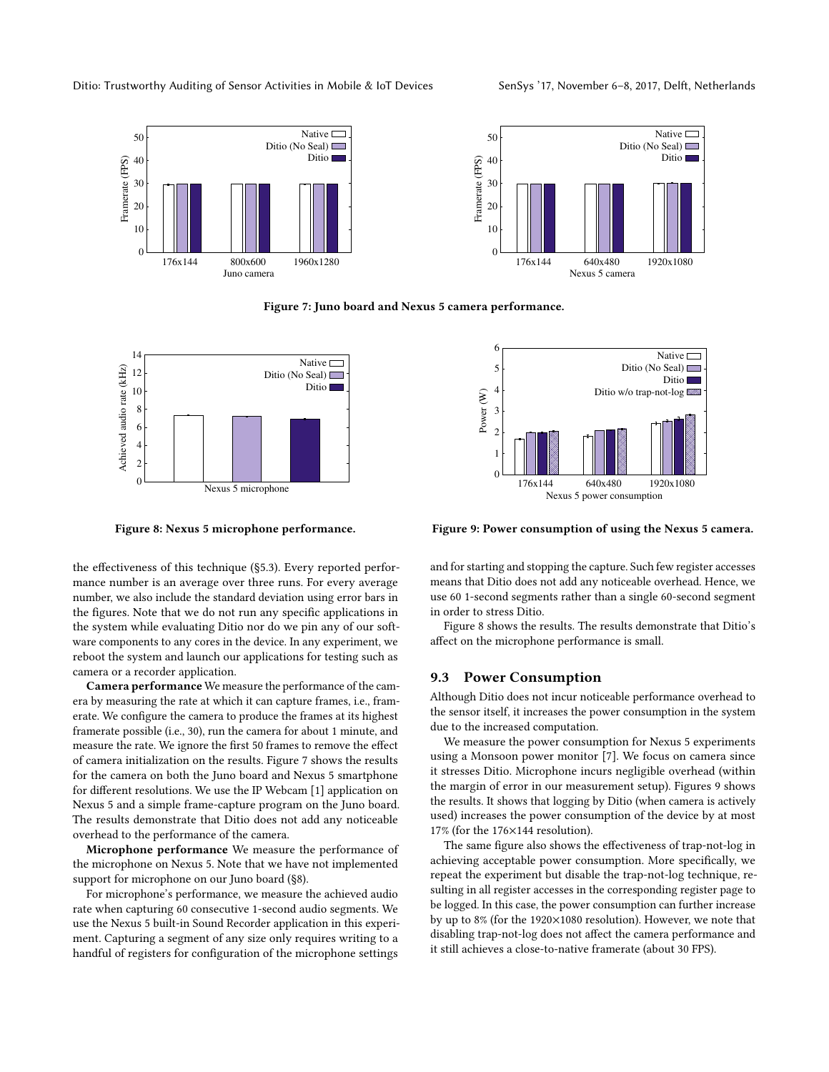<span id="page-10-0"></span>



Figure 7: Juno board and Nexus 5 camera performance.

<span id="page-10-1"></span>

Figure 8: Nexus 5 microphone performance.

the effectiveness of this technique ([§5.3\)](#page-5-2). Every reported performance number is an average over three runs. For every average number, we also include the standard deviation using error bars in the figures. Note that we do not run any specific applications in the system while evaluating Ditio nor do we pin any of our software components to any cores in the device. In any experiment, we reboot the system and launch our applications for testing such as camera or a recorder application.

Camera performance We measure the performance of the camera by measuring the rate at which it can capture frames, i.e., framerate. We configure the camera to produce the frames at its highest framerate possible (i.e., 30), run the camera for about 1 minute, and measure the rate. We ignore the first 50 frames to remove the effect of camera initialization on the results. Figure [7](#page-10-0) shows the results for the camera on both the Juno board and Nexus 5 smartphone for different resolutions. We use the IP Webcam [\[1\]](#page-13-34) application on Nexus 5 and a simple frame-capture program on the Juno board. The results demonstrate that Ditio does not add any noticeable overhead to the performance of the camera.

Microphone performance We measure the performance of the microphone on Nexus 5. Note that we have not implemented support for microphone on our Juno board ([§8\)](#page-8-1).

For microphone's performance, we measure the achieved audio rate when capturing 60 consecutive 1-second audio segments. We use the Nexus 5 built-in Sound Recorder application in this experiment. Capturing a segment of any size only requires writing to a handful of registers for configuration of the microphone settings

<span id="page-10-2"></span>

Figure 9: Power consumption of using the Nexus 5 camera.

and for starting and stopping the capture. Such few register accesses means that Ditio does not add any noticeable overhead. Hence, we use 60 1-second segments rather than a single 60-second segment in order to stress Ditio.

Figure [8](#page-10-1) shows the results. The results demonstrate that Ditio's affect on the microphone performance is small.

#### 9.3 Power Consumption

Although Ditio does not incur noticeable performance overhead to the sensor itself, it increases the power consumption in the system due to the increased computation.

We measure the power consumption for Nexus 5 experiments using a Monsoon power monitor [\[7\]](#page-13-35). We focus on camera since it stresses Ditio. Microphone incurs negligible overhead (within the margin of error in our measurement setup). Figures [9](#page-10-2) shows the results. It shows that logging by Ditio (when camera is actively used) increases the power consumption of the device by at most 17% (for the 176×144 resolution).

The same figure also shows the effectiveness of trap-not-log in achieving acceptable power consumption. More specifically, we repeat the experiment but disable the trap-not-log technique, resulting in all register accesses in the corresponding register page to be logged. In this case, the power consumption can further increase by up to 8% (for the 1920×1080 resolution). However, we note that disabling trap-not-log does not affect the camera performance and it still achieves a close-to-native framerate (about 30 FPS).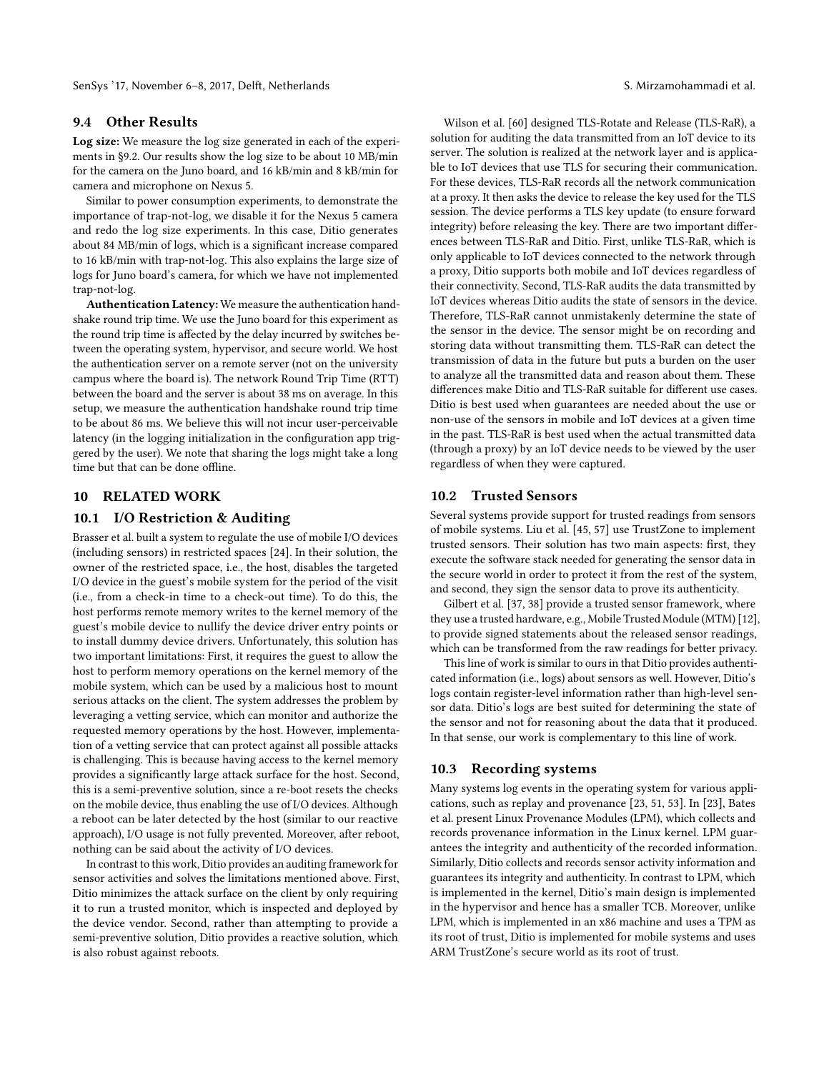#### 9.4 Other Results

Log size: We measure the log size generated in each of the experiments in [§9.2.](#page-9-3) Our results show the log size to be about 10 MB/min for the camera on the Juno board, and 16 kB/min and 8 kB/min for camera and microphone on Nexus 5.

Similar to power consumption experiments, to demonstrate the importance of trap-not-log, we disable it for the Nexus 5 camera and redo the log size experiments. In this case, Ditio generates about 84 MB/min of logs, which is a significant increase compared to 16 kB/min with trap-not-log. This also explains the large size of logs for Juno board's camera, for which we have not implemented trap-not-log.

Authentication Latency: We measure the authentication handshake round trip time. We use the Juno board for this experiment as the round trip time is affected by the delay incurred by switches between the operating system, hypervisor, and secure world. We host the authentication server on a remote server (not on the university campus where the board is). The network Round Trip Time (RTT) between the board and the server is about 38 ms on average. In this setup, we measure the authentication handshake round trip time to be about 86 ms. We believe this will not incur user-perceivable latency (in the logging initialization in the configuration app triggered by the user). We note that sharing the logs might take a long time but that can be done offline.

# 10 RELATED WORK

# 10.1 I/O Restriction & Auditing

Brasser et al. built a system to regulate the use of mobile I/O devices (including sensors) in restricted spaces [\[24\]](#page-13-36). In their solution, the owner of the restricted space, i.e., the host, disables the targeted I/O device in the guest's mobile system for the period of the visit (i.e., from a check-in time to a check-out time). To do this, the host performs remote memory writes to the kernel memory of the guest's mobile device to nullify the device driver entry points or to install dummy device drivers. Unfortunately, this solution has two important limitations: First, it requires the guest to allow the host to perform memory operations on the kernel memory of the mobile system, which can be used by a malicious host to mount serious attacks on the client. The system addresses the problem by leveraging a vetting service, which can monitor and authorize the requested memory operations by the host. However, implementation of a vetting service that can protect against all possible attacks is challenging. This is because having access to the kernel memory provides a significantly large attack surface for the host. Second, this is a semi-preventive solution, since a re-boot resets the checks on the mobile device, thus enabling the use of I/O devices. Although a reboot can be later detected by the host (similar to our reactive approach), I/O usage is not fully prevented. Moreover, after reboot, nothing can be said about the activity of I/O devices.

In contrast to this work, Ditio provides an auditing framework for sensor activities and solves the limitations mentioned above. First, Ditio minimizes the attack surface on the client by only requiring it to run a trusted monitor, which is inspected and deployed by the device vendor. Second, rather than attempting to provide a semi-preventive solution, Ditio provides a reactive solution, which is also robust against reboots.

Wilson et al. [\[60\]](#page-13-37) designed TLS-Rotate and Release (TLS-RaR), a solution for auditing the data transmitted from an IoT device to its server. The solution is realized at the network layer and is applicable to IoT devices that use TLS for securing their communication. For these devices, TLS-RaR records all the network communication at a proxy. It then asks the device to release the key used for the TLS session. The device performs a TLS key update (to ensure forward integrity) before releasing the key. There are two important differences between TLS-RaR and Ditio. First, unlike TLS-RaR, which is only applicable to IoT devices connected to the network through a proxy, Ditio supports both mobile and IoT devices regardless of their connectivity. Second, TLS-RaR audits the data transmitted by IoT devices whereas Ditio audits the state of sensors in the device. Therefore, TLS-RaR cannot unmistakenly determine the state of the sensor in the device. The sensor might be on recording and storing data without transmitting them. TLS-RaR can detect the transmission of data in the future but puts a burden on the user to analyze all the transmitted data and reason about them. These differences make Ditio and TLS-RaR suitable for different use cases. Ditio is best used when guarantees are needed about the use or non-use of the sensors in mobile and IoT devices at a given time in the past. TLS-RaR is best used when the actual transmitted data (through a proxy) by an IoT device needs to be viewed by the user regardless of when they were captured.

#### 10.2 Trusted Sensors

Several systems provide support for trusted readings from sensors of mobile systems. Liu et al. [\[45,](#page-13-38) [57\]](#page-13-39) use TrustZone to implement trusted sensors. Their solution has two main aspects: first, they execute the software stack needed for generating the sensor data in the secure world in order to protect it from the rest of the system, and second, they sign the sensor data to prove its authenticity.

Gilbert et al. [\[37,](#page-13-40) [38\]](#page-13-41) provide a trusted sensor framework, where they use a trusted hardware, e.g., Mobile Trusted Module (MTM) [\[12\]](#page-13-42), to provide signed statements about the released sensor readings, which can be transformed from the raw readings for better privacy.

This line of work is similar to ours in that Ditio provides authenticated information (i.e., logs) about sensors as well. However, Ditio's logs contain register-level information rather than high-level sensor data. Ditio's logs are best suited for determining the state of the sensor and not for reasoning about the data that it produced. In that sense, our work is complementary to this line of work.

#### 10.3 Recording systems

Many systems log events in the operating system for various applications, such as replay and provenance [\[23,](#page-13-43) [51,](#page-13-44) [53\]](#page-13-45). In [\[23\]](#page-13-43), Bates et al. present Linux Provenance Modules (LPM), which collects and records provenance information in the Linux kernel. LPM guarantees the integrity and authenticity of the recorded information. Similarly, Ditio collects and records sensor activity information and guarantees its integrity and authenticity. In contrast to LPM, which is implemented in the kernel, Ditio's main design is implemented in the hypervisor and hence has a smaller TCB. Moreover, unlike LPM, which is implemented in an x86 machine and uses a TPM as its root of trust, Ditio is implemented for mobile systems and uses ARM TrustZone's secure world as its root of trust.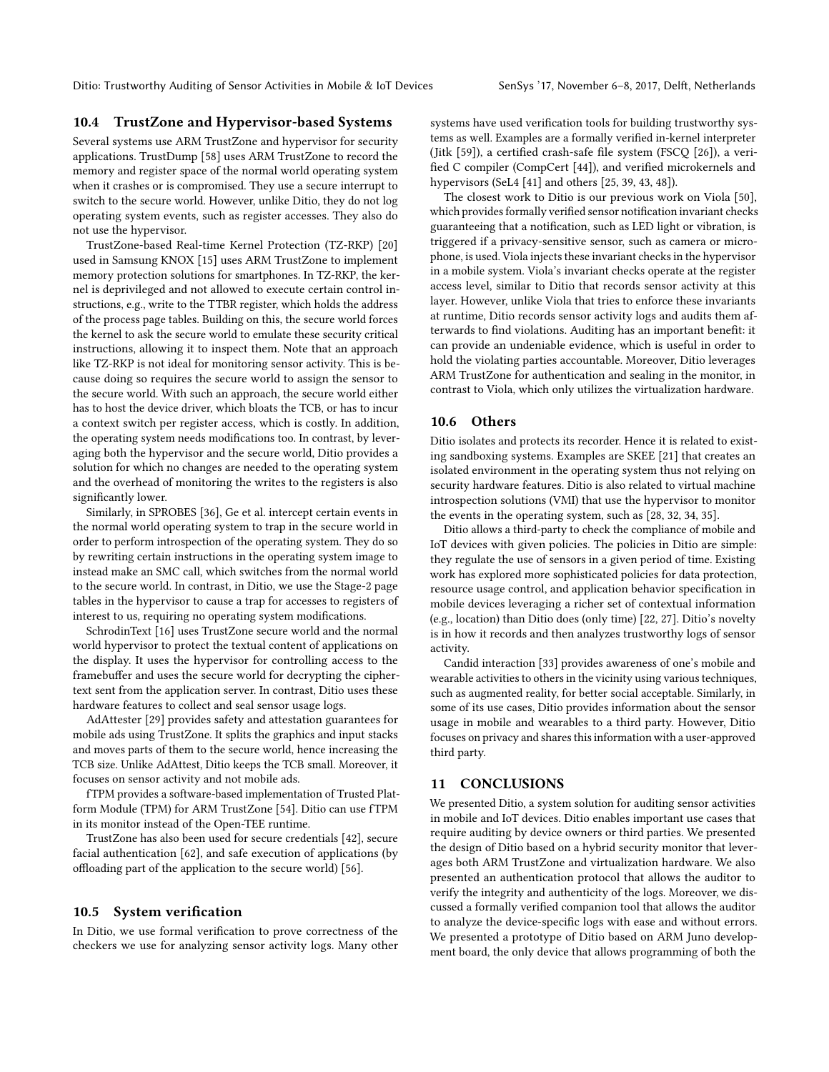# 10.4 TrustZone and Hypervisor-based Systems

Several systems use ARM TrustZone and hypervisor for security applications. TrustDump [\[58\]](#page-13-46) uses ARM TrustZone to record the memory and register space of the normal world operating system when it crashes or is compromised. They use a secure interrupt to switch to the secure world. However, unlike Ditio, they do not log operating system events, such as register accesses. They also do not use the hypervisor.

TrustZone-based Real-time Kernel Protection (TZ-RKP) [\[20\]](#page-13-47) used in Samsung KNOX [\[15\]](#page-13-48) uses ARM TrustZone to implement memory protection solutions for smartphones. In TZ-RKP, the kernel is deprivileged and not allowed to execute certain control instructions, e.g., write to the TTBR register, which holds the address of the process page tables. Building on this, the secure world forces the kernel to ask the secure world to emulate these security critical instructions, allowing it to inspect them. Note that an approach like TZ-RKP is not ideal for monitoring sensor activity. This is because doing so requires the secure world to assign the sensor to the secure world. With such an approach, the secure world either has to host the device driver, which bloats the TCB, or has to incur a context switch per register access, which is costly. In addition, the operating system needs modifications too. In contrast, by leveraging both the hypervisor and the secure world, Ditio provides a solution for which no changes are needed to the operating system and the overhead of monitoring the writes to the registers is also significantly lower.

Similarly, in SPROBES [\[36\]](#page-13-49), Ge et al. intercept certain events in the normal world operating system to trap in the secure world in order to perform introspection of the operating system. They do so by rewriting certain instructions in the operating system image to instead make an SMC call, which switches from the normal world to the secure world. In contrast, in Ditio, we use the Stage-2 page tables in the hypervisor to cause a trap for accesses to registers of interest to us, requiring no operating system modifications.

SchrodinText [\[16\]](#page-13-50) uses TrustZone secure world and the normal world hypervisor to protect the textual content of applications on the display. It uses the hypervisor for controlling access to the framebuffer and uses the secure world for decrypting the ciphertext sent from the application server. In contrast, Ditio uses these hardware features to collect and seal sensor usage logs.

AdAttester [\[29\]](#page-13-51) provides safety and attestation guarantees for mobile ads using TrustZone. It splits the graphics and input stacks and moves parts of them to the secure world, hence increasing the TCB size. Unlike AdAttest, Ditio keeps the TCB small. Moreover, it focuses on sensor activity and not mobile ads.

fTPM provides a software-based implementation of Trusted Platform Module (TPM) for ARM TrustZone [\[54\]](#page-13-21). Ditio can use fTPM in its monitor instead of the Open-TEE runtime.

TrustZone has also been used for secure credentials [\[42\]](#page-13-52), secure facial authentication [\[62\]](#page-13-53), and safe execution of applications (by offloading part of the application to the secure world) [\[56\]](#page-13-54).

# 10.5 System verification

In Ditio, we use formal verification to prove correctness of the checkers we use for analyzing sensor activity logs. Many other systems have used verification tools for building trustworthy systems as well. Examples are a formally verified in-kernel interpreter (Jitk [\[59\]](#page-13-29)), a certified crash-safe file system (FSCQ [\[26\]](#page-13-55)), a verified C compiler (CompCert [\[44\]](#page-13-30)), and verified microkernels and hypervisors (SeL4 [\[41\]](#page-13-18) and others [\[25,](#page-13-16) [39,](#page-13-17) [43,](#page-13-19) [48\]](#page-13-20)).

The closest work to Ditio is our previous work on Viola [\[50\]](#page-13-7), which provides formally verified sensor notification invariant checks guaranteeing that a notification, such as LED light or vibration, is triggered if a privacy-sensitive sensor, such as camera or microphone, is used. Viola injects these invariant checks in the hypervisor in a mobile system. Viola's invariant checks operate at the register access level, similar to Ditio that records sensor activity at this layer. However, unlike Viola that tries to enforce these invariants at runtime, Ditio records sensor activity logs and audits them afterwards to find violations. Auditing has an important benefit: it can provide an undeniable evidence, which is useful in order to hold the violating parties accountable. Moreover, Ditio leverages ARM TrustZone for authentication and sealing in the monitor, in contrast to Viola, which only utilizes the virtualization hardware.

# 10.6 Others

Ditio isolates and protects its recorder. Hence it is related to existing sandboxing systems. Examples are SKEE [\[21\]](#page-13-13) that creates an isolated environment in the operating system thus not relying on security hardware features. Ditio is also related to virtual machine introspection solutions (VMI) that use the hypervisor to monitor the events in the operating system, such as [\[28,](#page-13-56) [32,](#page-13-57) [34,](#page-13-58) [35\]](#page-13-59).

Ditio allows a third-party to check the compliance of mobile and IoT devices with given policies. The policies in Ditio are simple: they regulate the use of sensors in a given period of time. Existing work has explored more sophisticated policies for data protection, resource usage control, and application behavior specification in mobile devices leveraging a richer set of contextual information (e.g., location) than Ditio does (only time) [\[22,](#page-13-60) [27\]](#page-13-61). Ditio's novelty is in how it records and then analyzes trustworthy logs of sensor activity.

Candid interaction [\[33\]](#page-13-62) provides awareness of one's mobile and wearable activities to others in the vicinity using various techniques, such as augmented reality, for better social acceptable. Similarly, in some of its use cases, Ditio provides information about the sensor usage in mobile and wearables to a third party. However, Ditio focuses on privacy and shares this information with a user-approved third party.

# 11 CONCLUSIONS

We presented Ditio, a system solution for auditing sensor activities in mobile and IoT devices. Ditio enables important use cases that require auditing by device owners or third parties. We presented the design of Ditio based on a hybrid security monitor that leverages both ARM TrustZone and virtualization hardware. We also presented an authentication protocol that allows the auditor to verify the integrity and authenticity of the logs. Moreover, we discussed a formally verified companion tool that allows the auditor to analyze the device-specific logs with ease and without errors. We presented a prototype of Ditio based on ARM Juno development board, the only device that allows programming of both the